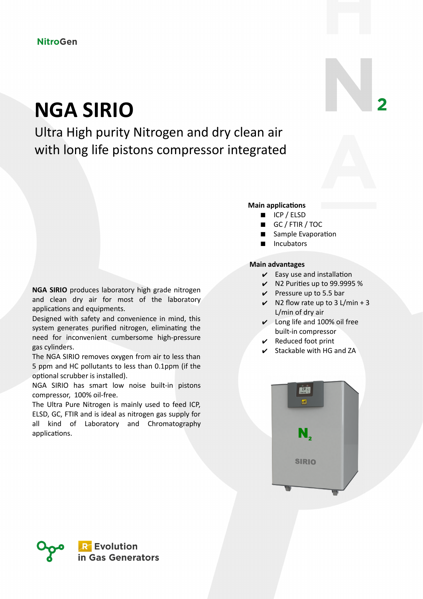# **NGA SIRIO**

Ultra High purity Nitrogen and dry clean air with long life pistons compressor integrated

### **NGA SIRIO** produces laboratory high grade nitrogen and clean dry air for most of the laboratory applications and equipments.

Designed with safety and convenience in mind, this system generates purified nitrogen, eliminating the need for inconvenient cumbersome high-pressure gas cylinders.

The NGA SIRIO removes oxygen from air to less than 5 ppm and HC pollutants to less than 0.1ppm (if the optional scrubber is installed).

NGA SIRIO has smart low noise built-in pistons compressor, 100% oil-free.

The Ultra Pure Nitrogen is mainly used to feed ICP, ELSD, GC, FTIR and is ideal as nitrogen gas supply for all kind of Laboratory and Chromatography applications.

#### **Main applications**

- ICP / ELSD
- GC / FTIR / TOC
- Sample Evaporation
- Incubators

#### **Main advantages**

- $\mathcal V$  Easy use and installation
- $\vee$  N2 Purities up to 99.9995 %
- $\vee$  Pressure up to 5.5 bar
- $\vee$  N2 flow rate up to 3 L/min + 3 L/min of dry air
- ✔ Long life and 100% oil free built-in compressor
- $\mathcal V$  Reduced foot print
- $\checkmark$  Stackable with HG and ZA